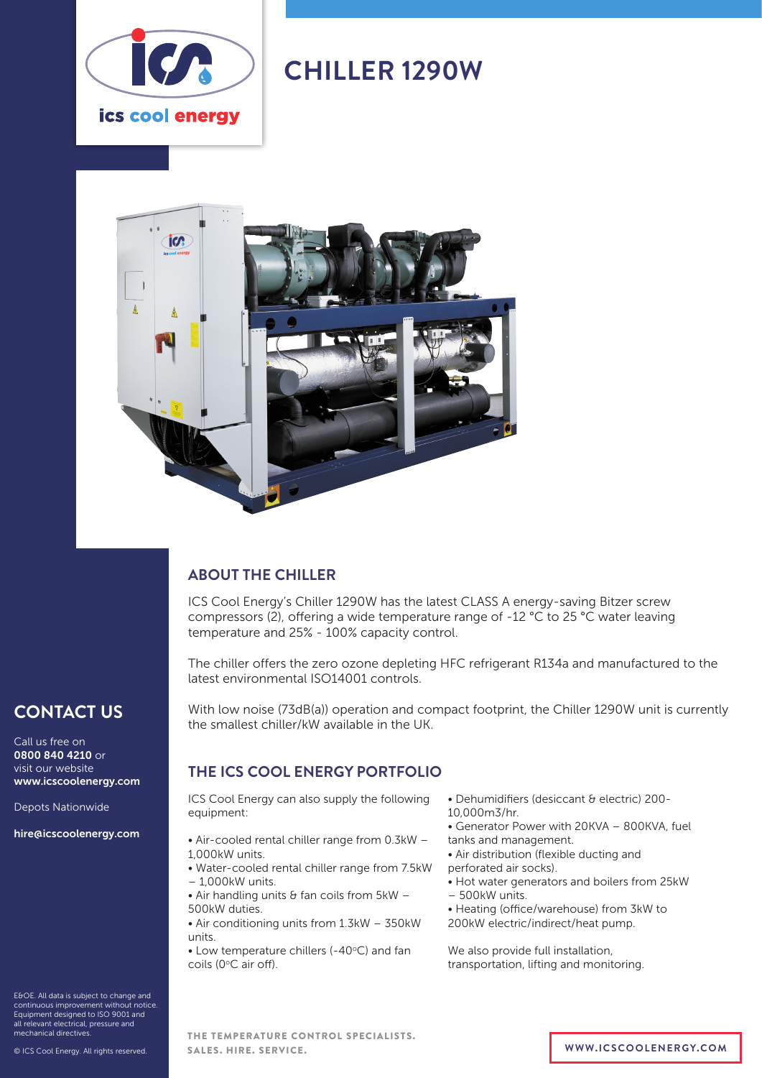

# **CHILLER 1290W**



# **ABOUT THE CHILLER**

ICS Cool Energy's Chiller 1290W has the latest CLASS A energy-saving Bitzer screw compressors (2), offering a wide temperature range of -12 °C to 25 °C water leaving temperature and 25% - 100% capacity control.

The chiller offers the zero ozone depleting HFC refrigerant R134a and manufactured to the latest environmental ISO14001 controls.

With low noise (73dB(a)) operation and compact footprint, the Chiller 1290W unit is currently the smallest chiller/kW available in the UK.

# **THE ICS COOL ENERGY PORTFOLIO**

ICS Cool Energy can also supply the following equipment:

- Air-cooled rental chiller range from 0.3kW 1,000kW units.
- Water-cooled rental chiller range from 7.5kW – 1,000kW units.
- Air handling units  $\theta$  fan coils from  $5kW -$ 500kW duties.
- Air conditioning units from 1.3kW 350kW units.

 $\bullet$  Low temperature chillers (-40 $\degree$ C) and fan coils (0°C air off).

- Dehumidifiers (desiccant & electric) 200-
- 10,000m3/hr.
- Generator Power with 20KVA 800KVA, fuel
- tanks and management.
- Air distribution (flexible ducting and perforated air socks).
- 
- Hot water generators and boilers from 25kW – 500kW units.
- 
- Heating (office/warehouse) from 3kW to 200kW electric/indirect/heat pump.

We also provide full installation, transportation, lifting and monitoring.

E&OE. All data is subject to change and continuous improvement without notice. Equipment designed to ISO 9001 and all relevant electrical, pressure and mechanical directives.

**CONTACT US**

www.icscoolenergy.com

hire@icscoolenergy.com

Depots Nationwide

Call us free on 0800 840 4210 or visit our website

THE TEMPERATURE CONTROL SPECIALISTS. SALES. HIRE. SERVICE. **WWW.ICSCOOLENERGY.COM**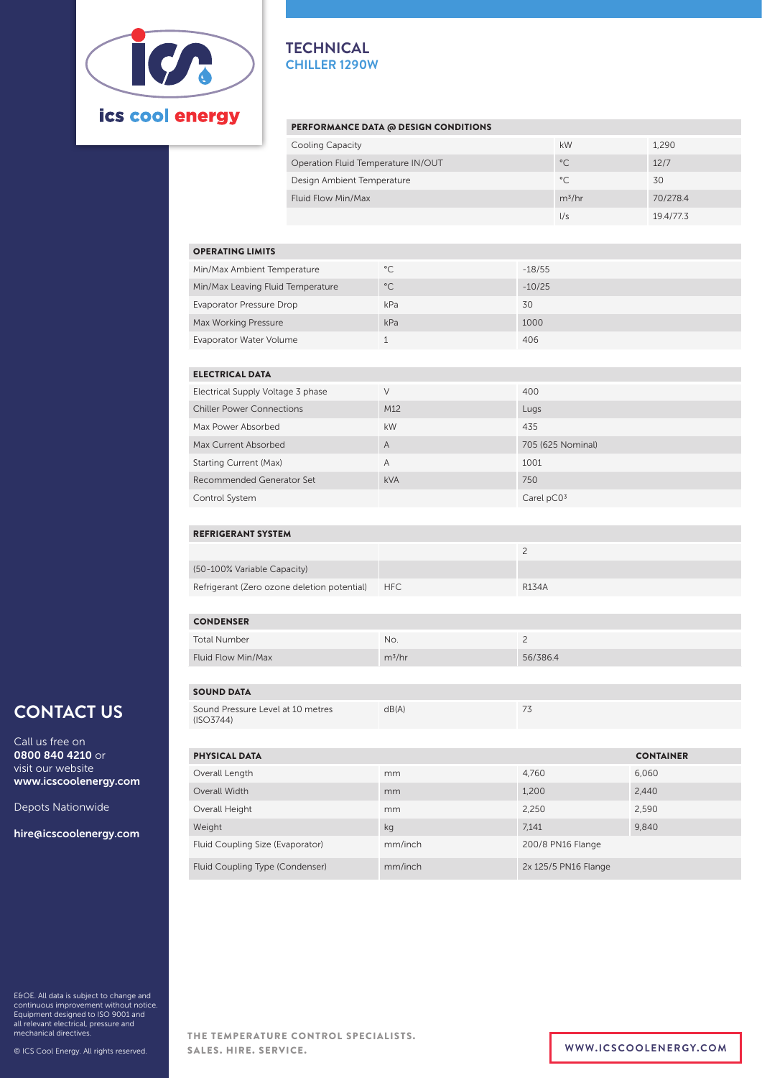

### **TECHNICAL CHILLER 1290W**

### PERFORMANCE DATA @ DESIGN CONDITIONS

| Cooling Capacity                   | kW           | 1.290     |
|------------------------------------|--------------|-----------|
| Operation Fluid Temperature IN/OUT | $^{\circ}$ C | 12/7      |
| Design Ambient Temperature         | $^{\circ}$ C | 30        |
| Fluid Flow Min/Max                 | $m^3/hr$     | 70/278.4  |
|                                    | 1/s          | 19.4/77.3 |

| <b>OPERATING LIMITS</b>           |              |          |  |  |  |  |
|-----------------------------------|--------------|----------|--|--|--|--|
| Min/Max Ambient Temperature       | $^{\circ}$ C | $-18/55$ |  |  |  |  |
| Min/Max Leaving Fluid Temperature | $^{\circ}$ C | $-10/25$ |  |  |  |  |
| Evaporator Pressure Drop          | kPa          | 30       |  |  |  |  |
| Max Working Pressure              | kPa          | 1000     |  |  |  |  |
| Evaporator Water Volume           |              | 406      |  |  |  |  |

| <b>ELECTRICAL DATA</b>            |                |                   |  |  |  |  |
|-----------------------------------|----------------|-------------------|--|--|--|--|
| Electrical Supply Voltage 3 phase | V              | 400               |  |  |  |  |
| <b>Chiller Power Connections</b>  | M12            | Lugs              |  |  |  |  |
| Max Power Absorbed                | <b>kW</b>      | 435               |  |  |  |  |
| Max Current Absorbed              | $\overline{A}$ | 705 (625 Nominal) |  |  |  |  |
| <b>Starting Current (Max)</b>     | $\overline{A}$ | 1001              |  |  |  |  |
| Recommended Generator Set         | <b>kVA</b>     | 750               |  |  |  |  |
| Control System                    |                | Carel $pC03$      |  |  |  |  |

### REFRIGERANT SYSTEM

| (50-100% Variable Capacity)                 |            |                    |
|---------------------------------------------|------------|--------------------|
| Refrigerant (Zero ozone deletion potential) | <b>HFC</b> | R <sub>134</sub> A |

| <b>CONDENSER</b>    |          |          |
|---------------------|----------|----------|
| <b>Total Number</b> | No.      |          |
| Fluid Flow Min/Max  | $m^3/hr$ | 56/386.4 |
|                     |          |          |

#### SOUND DATA Sound Pressure Level at 10 metres

| Sound Pressure Level at 10 metres<br>(ISO3744) | dB(A) |  |
|------------------------------------------------|-------|--|
|                                                |       |  |

| <b>PHYSICAL DATA</b>             |         |                      | <b>CONTAINER</b> |
|----------------------------------|---------|----------------------|------------------|
| Overall Length                   | mm      | 4,760                | 6,060            |
| Overall Width                    | mm      | 1,200                | 2,440            |
| Overall Height                   | mm      | 2,250                | 2,590            |
| Weight                           | kg      | 7.141                | 9,840            |
| Fluid Coupling Size (Evaporator) | mm/inch | 200/8 PN16 Flange    |                  |
| Fluid Coupling Type (Condenser)  | mm/inch | 2x 125/5 PN16 Flange |                  |

E&OE. All data is subject to change and continuous improvement without notice. Equipment designed to ISO 9001 and all relevant electrical, pressure and mechanical directives.

**CONTACT US**

www.icscoolenergy.com

hire@icscoolenergy.com

Depots Nationwide

Call us free on 0800 840 4210 or visit our website

© ICS Cool Energy. All rights reserved.

THE TEMPERATURE CONTROL SPECIALISTS. SALES. HIRE. SERVICE. **WWW.ICSCOOLENERGY.COM**